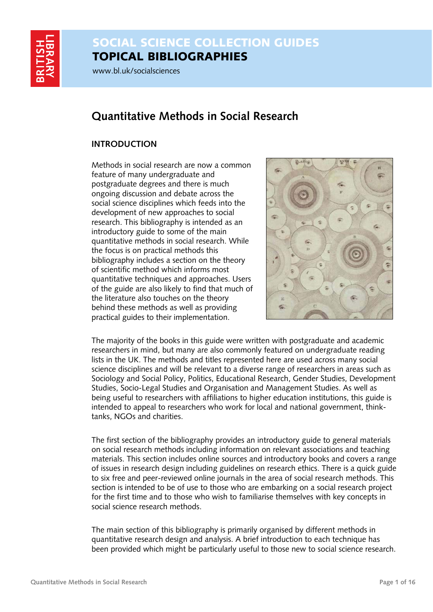

# SOCIAL SCIENCE COLLECTION GUIDES TOPICAL BIBLIOGRAPHIES

www.bl.uk/socialsciences

# **Quantitative Methods in Social Research**

# **INTRODUCTION**

Methods in social research are now a common feature of many undergraduate and postgraduate degrees and there is much ongoing discussion and debate across the social science disciplines which feeds into the development of new approaches to social research. This bibliography is intended as an introductory guide to some of the main quantitative methods in social research. While the focus is on practical methods this bibliography includes a section on the theory of scientific method which informs most quantitative techniques and approaches. Users of the guide are also likely to find that much of the literature also touches on the theory behind these methods as well as providing practical guides to their implementation.



The majority of the books in this guide were written with postgraduate and academic researchers in mind, but many are also commonly featured on undergraduate reading lists in the UK. The methods and titles represented here are used across many social science disciplines and will be relevant to a diverse range of researchers in areas such as Sociology and Social Policy, Politics, Educational Research, Gender Studies, Development Studies, Socio-Legal Studies and Organisation and Management Studies. As well as being useful to researchers with affiliations to higher education institutions, this guide is intended to appeal to researchers who work for local and national government, thinktanks, NGOs and charities.

The first section of the bibliography provides an introductory guide to general materials on social research methods including information on relevant associations and teaching materials. This section includes online sources and introductory books and covers a range of issues in research design including guidelines on research ethics. There is a quick guide to six free and peer-reviewed online journals in the area of social research methods. This section is intended to be of use to those who are embarking on a social research project for the first time and to those who wish to familiarise themselves with key concepts in social science research methods.

The main section of this bibliography is primarily organised by different methods in quantitative research design and analysis. A brief introduction to each technique has been provided which might be particularly useful to those new to social science research.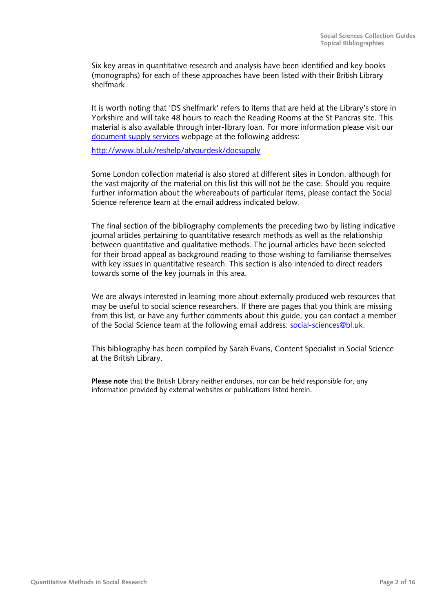Six key areas in quantitative research and analysis have been identified and key books (monographs) for each of these approaches have been listed with their British Library shelfmark.

It is worth noting that 'DS shelfmark' refers to items that are held at the Library's store in Yorkshire and will take 48 hours to reach the Reading Rooms at the St Pancras site. This material is also available through inter-library loan. For more information please visit our [document supply services](http://www.bl.uk/reshelp/atyourdesk/docsupply) webpage at the following address:

<http://www.bl.uk/reshelp/atyourdesk/docsupply>

Some London collection material is also stored at different sites in London, although for the vast majority of the material on this list this will not be the case. Should you require further information about the whereabouts of particular items, please contact the Social Science reference team at the email address indicated below.

The final section of the bibliography complements the preceding two by listing indicative journal articles pertaining to quantitative research methods as well as the relationship between quantitative and qualitative methods. The journal articles have been selected for their broad appeal as background reading to those wishing to familiarise themselves with key issues in quantitative research. This section is also intended to direct readers towards some of the key journals in this area.

We are always interested in learning more about externally produced web resources that may be useful to social science researchers. If there are pages that you think are missing from this list, or have any further comments about this guide, you can contact a member of the Social Science team at the following email address: [social-sciences@bl.uk](mailto:social-sciences@bl.uk).

This bibliography has been compiled by Sarah Evans, Content Specialist in Social Science at the British Library.

**Please note** that the British Library neither endorses, nor can be held responsible for, any information provided by external websites or publications listed herein.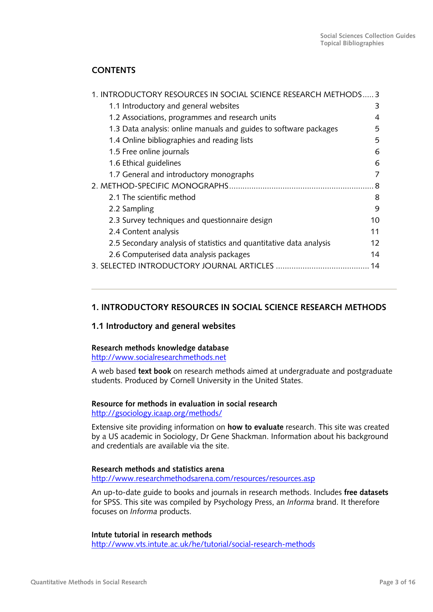# <span id="page-2-0"></span>**CONTENTS**

| 1. INTRODUCTORY RESOURCES IN SOCIAL SCIENCE RESEARCH METHODS 3      |    |
|---------------------------------------------------------------------|----|
| 1.1 Introductory and general websites                               | 3  |
| 1.2 Associations, programmes and research units                     | 4  |
| 1.3 Data analysis: online manuals and guides to software packages   | 5  |
| 1.4 Online bibliographies and reading lists                         | 5  |
| 1.5 Free online journals                                            | 6  |
| 1.6 Ethical guidelines                                              | 6  |
| 1.7 General and introductory monographs                             |    |
|                                                                     | 8  |
| 2.1 The scientific method                                           | 8  |
| 2.2 Sampling                                                        | 9  |
| 2.3 Survey techniques and questionnaire design                      | 10 |
| 2.4 Content analysis                                                | 11 |
| 2.5 Secondary analysis of statistics and quantitative data analysis | 12 |
| 2.6 Computerised data analysis packages                             | 14 |
|                                                                     |    |
|                                                                     |    |

# **1. INTRODUCTORY RESOURCES IN SOCIAL SCIENCE RESEARCH METHODS**

# **1.1 Introductory and general websites**

#### **Research methods knowledge database**

[http://www.socialresearchmethods.net](http://www.socialresearchmethods.net/)

A web based **text book** on research methods aimed at undergraduate and postgraduate students. Produced by Cornell University in the United States.

# **Resource for methods in evaluation in social research**

<http://gsociology.icaap.org/methods/>

Extensive site providing information on **how to evaluate** research. This site was created by a US academic in Sociology, Dr Gene Shackman. Information about his background and credentials are available via the site.

#### **Research methods and statistics arena**

<http://www.researchmethodsarena.com/resources/resources.asp>

An up-to-date guide to books and journals in research methods. Includes **free datasets** for SPSS. This site was compiled by Psychology Press, an *Informa* brand. It therefore focuses on *Informa* products.

#### **Intute tutorial in research methods**

<http://www.vts.intute.ac.uk/he/tutorial/social-research-methods>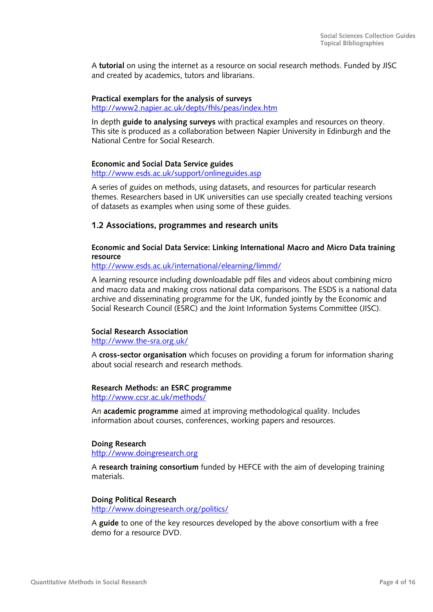<span id="page-3-0"></span>A **tutorial** on using the internet as a resource on social research methods. Funded by JISC and created by academics, tutors and librarians.

#### **Practical exemplars for the analysis of surveys**  <http://www2.napier.ac.uk/depts/fhls/peas/index.htm>

In depth **guide to analysing surveys** with practical examples and resources on theory. This site is produced as a collaboration between Napier University in Edinburgh and the National Centre for Social Research.

# **Economic and Social Data Service guides**

<http://www.esds.ac.uk/support/onlineguides.asp>

A series of guides on methods, using datasets, and resources for particular research themes. Researchers based in UK universities can use specially created teaching versions of datasets as examples when using some of these guides.

# **1 .2 Associations, programmes and research units**

**E conomic and Social Data Service: Linking International Macro and Micro Data training resource** 

[http://ww](http://www.esds.ac.uk/)w.esds.ac.uk/international/elearning/limmd/

[A learning resource including downloadable pdf files and](http://www.esds.ac.uk/) videos about combining micro and macro data and making cross national data comparisons. The ESDS is a national data archive and disseminating programme for the UK, funded jointly by the Economic and Social Research Council (ESRC) and the Joint Information Systems Committee (JISC).

# **Social Research Association**

<http://www.the-sra.org.uk/>

A **[cross-sector organisation](http://www.the-sra.org.uk/)** which focuses on providing a forum for information sharing about social research and research methods.

# **esearch Methods: an ESRC programme R**

<http://www.ccsr.ac.uk/methods/>

An **[academic programme](http://www.ccsr.ac.uk/methods/)** aimed at improving methodological quality. Includes information about courses, conferences, working papers and resources.

# **oing Research D**

<u>[http://www.doin](http://www.doingresearch.org/)gresearch.org</u>

A [research training consortium](http://www.doingresearch.org/) funded by HEFCE with the aim of developing training materials.

# **oing Political Research D**

[http://www.doingresearch](http://www.doingresearch.org/politics/).org/politics/

A **guide** [to one of the key resources deve](http://www.doingresearch.org/politics/)loped by the above consortium with a free demo for a resource DVD.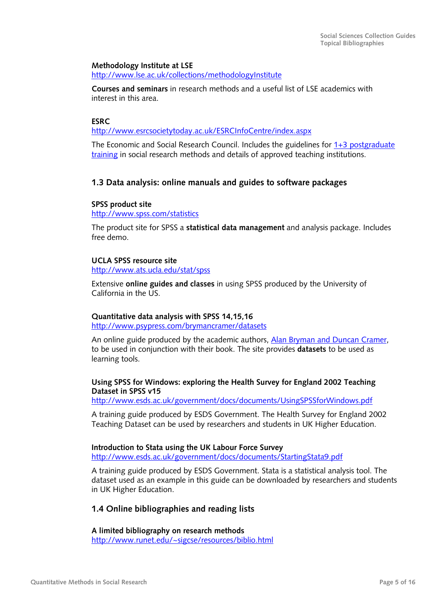#### <span id="page-4-0"></span>**Methodology Institute at LSE**

<http://www.lse.ac.uk/collections/methodologyInstitute>

**Courses and seminars** in research methods and a useful list of LSE academics with interest in this area.

#### **ESRC**

<http://www.esrcsocietytoday.ac.uk/ESRCInfoCentre/index.aspx>

The Economic and Social Research Council. Includes the guidelines for [1+3 postgraduate](http://www.esrcsocietytoday.ac.uk/ESRCInfoCentre/opportunities/postgraduate/fundingopportunities)  [training](http://www.esrcsocietytoday.ac.uk/ESRCInfoCentre/opportunities/postgraduate/fundingopportunities) in social research methods and details of approved teaching institutions.

### **1.3 Data analysis: online manuals and guides to software packages**

#### **SPSS product site**

http://www.spss.com/statistics

The product site for SPSS a **statistical data management** and analysis package. Includes free demo.

#### **UCLA SPSS resource site**

<http://www.ats.ucla.edu/stat/spss>

Extensive **online guides and classes** in using SPSS produced by the University of California in the US.

#### **Quantitative data analysis with SPSS 14,15,16**

<http://www.psypress.com/brymancramer/datasets>

An online guide produced by the academic authors, [Alan Bryman and Duncan Cramer,](http://www.psypress.com/brymancramer) to be used in conjunction with their book. The site provides **datasets** to be used as learning tools.

#### **Using SPSS for Windows: exploring the Health Survey for England 2002 Teaching Dataset in SPSS v15**

<http://www.esds.ac.uk/government/docs/documents/UsingSPSSforWindows.pdf>

A training guide produced by ESDS Government. The Health Survey for England 2002 Teaching Dataset can be used by researchers and students in UK Higher Education.

**Introduction to Stata using the UK Labour Force Survey**  <http://www.esds.ac.uk/government/docs/documents/StartingStata9.pdf>

A training guide produced by ESDS Government. Stata is a statistical analysis tool. The dataset used as an example in this guide can be downloaded by researchers and students in UK Higher Education.

#### **.4 Online bibliographies and reading lists 1**

 **limited bibliography on research methods A**

<u>[http://www.runet.edu/~sigcse/resources/bibl](http://www.runet.edu/%7Esigcse/resources/biblio.html)io.html</u>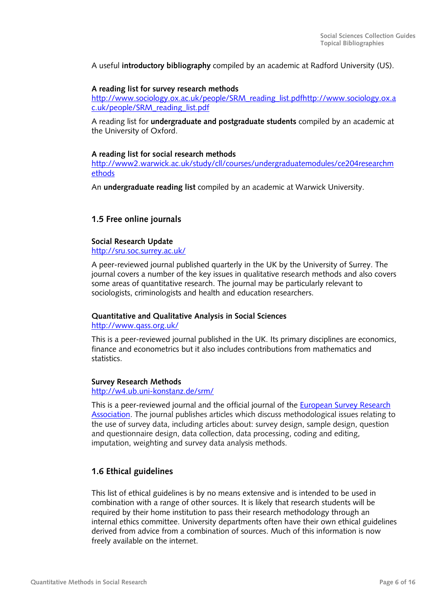<span id="page-5-0"></span>A useful **introductory bibliography** compiled by an academic at Radford University (US).

#### **A reading list for survey research methods**

[http://www.sociology.ox.ac.uk/people/SRM\\_reading\\_list.pdfhttp://www.sociology.ox.a](http://www.sociology.ox.ac.uk/people/SRM_reading_list.pdf) [c.uk/people/SRM\\_reading\\_list.pdf](http://www.sociology.ox.ac.uk/people/SRM_reading_list.pdf)

A reading list for **undergraduate and postgraduate students** compiled by an academic at the University of Oxford.

#### **A reading list for social research methods**

[http://www2.warwick.ac.uk/study/cll/courses/undergraduatemodules/ce204researchm](http://www2.warwick.ac.uk/study/cll/courses/undergraduatemodules/ce204researchmethods) [ethods](http://www2.warwick.ac.uk/study/cll/courses/undergraduatemodules/ce204researchmethods)

An **undergraduate reading list** compiled by an academic at Warwick University.

### **1.5 Free online journals**

#### **Social Research Update**

<http://sru.soc.surrey.ac.uk/>

A peer-reviewed journal published quarterly in the UK by the University of Surrey. The journal covers a number of the key issues in qualitative research methods and also covers some areas of quantitative research. The journal may be particularly relevant to sociologists, criminologists and health and education researchers.

#### **Quantitative and Qualitative Analysis in Social Sciences**

<http://www.qass.org.uk/>

This is a peer-reviewed journal published in the UK. Its primary disciplines are economics, finance and econometrics but it also includes contributions from mathematics and statistics.

#### **Survey Research Methods**

<http://w4.ub.uni-konstanz.de/srm/>

This is a peer-reviewed journal and the official journal of the [European Survey Research](http://www.surveymethodology.eu/home)  [Association](http://www.surveymethodology.eu/home). The journal publishes articles which discuss methodological issues relating to the use of survey data, including articles about: survey design, sample design, question and questionnaire design, data collection, data processing, coding and editing, imputation, weighting and survey data analysis methods.

# **1.6 Ethical guidelines**

This list of ethical guidelines is by no means extensive and is intended to be used in combination with a range of other sources. It is likely that research students will be required by their home institution to pass their research methodology through an internal ethics committee. University departments often have their own ethical guidelines derived from advice from a combination of sources. Much of this information is now freely available on the internet.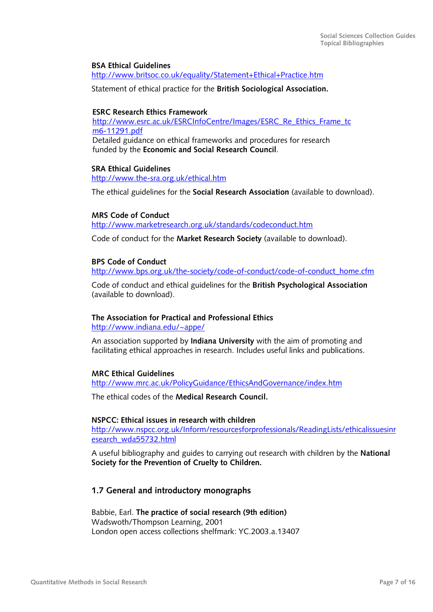#### <span id="page-6-0"></span>**BSA Ethical Guidelines**

<http://www.britsoc.co.uk/equality/Statement+Ethical+Practice.htm>

Statement of ethical practice for the **British Sociological Association.** 

#### **ESRC Research Ethics Framework**

[http://www.esrc.ac.uk/ESRCInfoCentre/Images/ESRC\\_Re\\_Ethics\\_Frame\\_tc](http://www.esrc.ac.uk/ESRCInfoCentre/Images/ESRC_Re_Ethics_Frame_tcm6-11291.pdf) [m6-11291.pdf](http://www.esrc.ac.uk/ESRCInfoCentre/Images/ESRC_Re_Ethics_Frame_tcm6-11291.pdf) Detailed guidance on ethical frameworks and procedures for research funded by the **Economic and Social Research Council**.

#### **SRA Ethical Guidelines**

<http://www.the-sra.org.uk/ethical.htm>

The ethical guidelines for the **Social Research Association** (available to download).

#### **MRS Code of Conduct**

<http://www.marketresearch.org.uk/standards/codeconduct.htm>

Code of conduct for the **Market Research Society** (available to download).

#### **BPS Code of Conduct**

[http://www.bps.org.uk/the-society/code-of-conduct/code-of-conduct\\_home.cfm](http://www.bps.org.uk/the-society/code-of-conduct/code-of-conduct_home.cfm)

Code of conduct and ethical guidelines for the **British Psychological Association**  (available to download).

#### **The Association for Practical and Professional Ethics**

[http://www.indiana.edu/~appe/](http://www.indiana.edu/%7Eappe/)

An association supported by **Indiana University** with the aim of promoting and facilitating ethical approaches in research. Includes useful links and publications.

#### **MRC Ethical Guidelines**

<http://www.mrc.ac.uk/PolicyGuidance/EthicsAndGovernance/index.htm>

The ethical codes of the **Medical Research Council.** 

#### **NSPCC: Ethical issues in research with children**

[http://www.nspcc.org.uk/Inform/resourcesforprofessionals/ReadingLists/ethicalissuesinr](http://www.nspcc.org.uk/Inform/resourcesforprofessionals/ReadingLists/ethicalissuesinresearch_wda55732.html) [esearch\\_wda55732.html](http://www.nspcc.org.uk/Inform/resourcesforprofessionals/ReadingLists/ethicalissuesinresearch_wda55732.html)

A useful bibliography and guides to carrying out research with children by the **National Society for the Prevention of Cruelty to Children.** 

#### **1.7 General and introductory monographs**

Babbie, Earl. **The practice of social research (9th edition)**  Wadswoth/Thompson Learning, 2001 London open access collections shelfmark: YC.2003.a.13407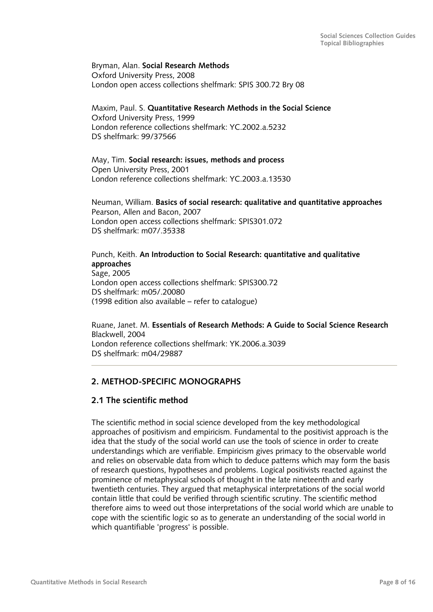#### <span id="page-7-0"></span>Bryman, Alan. **Social Research Methods**  Oxford University Press, 2008 London open access collections shelfmark: SPIS 300.72 Bry 08

Maxim, Paul. S. **Quantitative Research Methods in the Social Science**  Oxford University Press, 1999 London reference collections shelfmark: YC.2002.a.5232 DS shelfmark: 99/37566

May, Tim. **Social research: issues, methods and process**  Open University Press, 2001 London reference collections shelfmark: YC.2003.a.13530

Neuman, William. **Basics of social research: qualitative and quantitative approaches**  Pearson, Allen and Bacon, 2007 London open access collections shelfmark: SPIS301.072 DS shelfmark: m07/.35338

Punch, Keith. **An Introduction to Social Research: quantitative and qualitative approaches**  Sage, 2005 London open access collections shelfmark: SPIS300.72 DS shelfmark: m05/.20080 (1998 edition also available – refer to catalogue)

Ruane, Janet. M. **Essentials of Research Methods: A Guide to Social Science Research** Blackwell, 2004 London reference collections shelfmark: YK.2006.a.3039 DS shelfmark: m04/29887

# **2. METHOD-SPECIFIC MONOGRAPHS**

# **2.1 The scientific method**

The scientific method in social science developed from the key methodological approaches of positivism and empiricism. Fundamental to the positivist approach is the idea that the study of the social world can use the tools of science in order to create understandings which are verifiable. Empiricism gives primacy to the observable world and relies on observable data from which to deduce patterns which may form the basis of research questions, hypotheses and problems. Logical positivists reacted against the prominence of metaphysical schools of thought in the late nineteenth and early twentieth centuries. They argued that metaphysical interpretations of the social world contain little that could be verified through scientific scrutiny. The scientific method therefore aims to weed out those interpretations of the social world which are unable to cope with the scientific logic so as to generate an understanding of the social world in which quantifiable 'progress' is possible.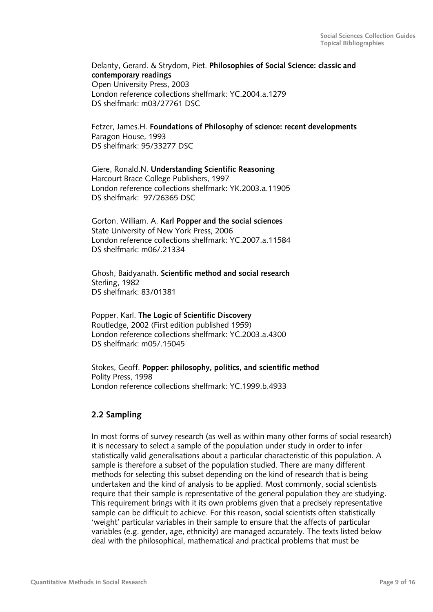<span id="page-8-0"></span>Delanty, Gerard. & Strydom, Piet. **Philosophies of Social Science: classic and contemporary readings**  Open University Press, 2003 London reference collections shelfmark: YC.2004.a.1279 DS shelfmark: m03/27761 DSC

Fetzer, James.H. **Foundations of Philosophy of science: recent developments**  Paragon House, 1993 DS shelfmark: 95/33277 DSC

Giere, Ronald.N. **Understanding Scientific Reasoning**  Harcourt Brace College Publishers, 1997 London reference collections shelfmark: YK.2003.a.11905 DS shelfmark: 97/26365 DSC

Gorton, William. A. **Karl Popper and the social sciences**  State University of New York Press, 2006 London reference collections shelfmark: YC.2007.a.11584 DS shelfmark: m06/.21334

Ghosh, Baidyanath. **Scientific method and social research**  Sterling, 1982 DS shelfmark: 83/01381

Popper, Karl. **The Logic of Scientific Discovery**  Routledge, 2002 (First edition published 1959) London reference collections shelfmark: YC.2003.a.4300 DS shelfmark: m05/.15045

Stokes, Geoff. **Popper: philosophy, politics, and scientific method**  Polity Press, 1998 London reference collections shelfmark: YC.1999.b.4933

# **2.2 Sampling**

In most forms of survey research (as well as within many other forms of social research) it is necessary to select a sample of the population under study in order to infer statistically valid generalisations about a particular characteristic of this population. A sample is therefore a subset of the population studied. There are many different methods for selecting this subset depending on the kind of research that is being undertaken and the kind of analysis to be applied. Most commonly, social scientists require that their sample is representative of the general population they are studying. This requirement brings with it its own problems given that a precisely representative sample can be difficult to achieve. For this reason, social scientists often statistically 'weight' particular variables in their sample to ensure that the affects of particular variables (e.g. gender, age, ethnicity) are managed accurately. The texts listed below deal with the philosophical, mathematical and practical problems that must be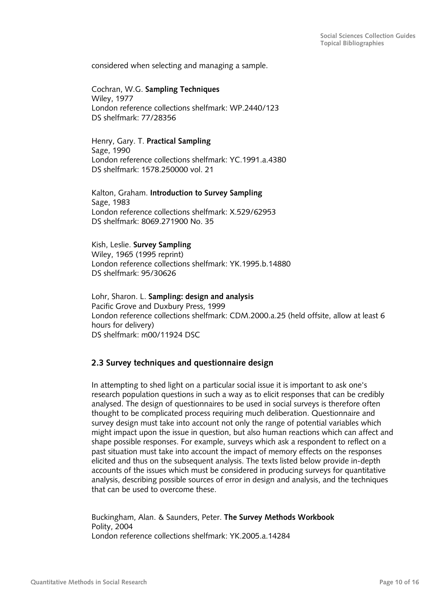<span id="page-9-0"></span>considered when selecting and managing a sample.

Cochran, W.G. **Sampling Techniques**  Wiley, 1977 London reference collections shelfmark: WP.2440/123 DS shelfmark: 77/28356

Henry, Gary. T. **Practical Sampling**  Sage, 1990 London reference collections shelfmark: YC.1991.a.4380 DS shelfmark: 1578.250000 vol. 21

Kalton, Graham. **Introduction to Survey Sampling**  Sage, 1983 London reference collections shelfmark: X.529/62953 DS shelfmark: 8069.271900 No. 35

Kish, Leslie. **Survey Sampling**  Wiley, 1965 (1995 reprint) London reference collections shelfmark: YK.1995.b.14880 DS shelfmark: 95/30626

Lohr, Sharon. L. **Sampling: design and analysis**  Pacific Grove and Duxbury Press, 1999 London reference collections shelfmark: CDM.2000.a.25 (held offsite, allow at least 6 hours for delivery) DS shelfmark: m00/11924 DSC

# **2.3 Survey techniques and questionnaire design**

In attempting to shed light on a particular social issue it is important to ask one's research population questions in such a way as to elicit responses that can be credibly analysed. The design of questionnaires to be used in social surveys is therefore often thought to be complicated process requiring much deliberation. Questionnaire and survey design must take into account not only the range of potential variables which might impact upon the issue in question, but also human reactions which can affect and shape possible responses. For example, surveys which ask a respondent to reflect on a past situation must take into account the impact of memory effects on the responses elicited and thus on the subsequent analysis. The texts listed below provide in-depth accounts of the issues which must be considered in producing surveys for quantitative analysis, describing possible sources of error in design and analysis, and the techniques that can be used to overcome these.

Buckingham, Alan. & Saunders, Peter. **The Survey Methods Workbook**  Polity, 2004 London reference collections shelfmark: YK.2005.a.14284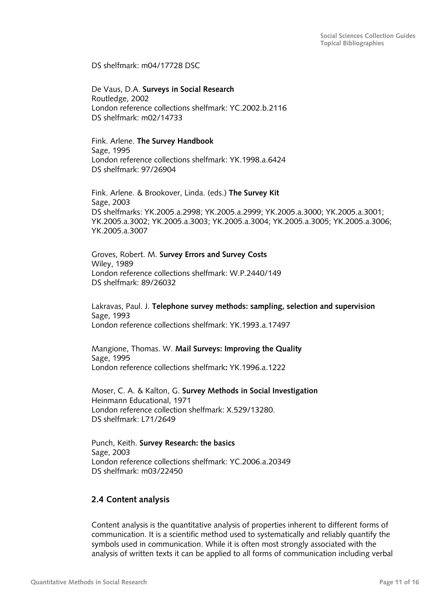<span id="page-10-0"></span>DS shelfmark: m04/17728 DSC

De Vaus, D.A. **Surveys in Social Research**  Routledge, 2002 London reference collections shelfmark: YC.2002.b.2116 DS shelfmark: m02/14733

Fink. Arlene. **The Survey Handbook**  Sage, 1995 London reference collections shelfmark: YK.1998.a.6424 DS shelfmark: 97/26904

Fink. Arlene. & Brookover, Linda. (eds.) **The Survey Kit**  Sage, 2003 DS shelfmarks: YK.2005.a.2998; YK.2005.a.2999; YK.2005.a.3000; YK.2005.a.3001; YK.2005.a.3002; YK.2005.a.3003; YK.2005.a.3004; YK.2005.a.3005; YK.2005.a.3006; YK.2005.a.3007

Groves, Robert. M. **Survey Errors and Survey Costs**  Wiley, 1989 London reference collections shelfmark: W.P.2440/149 DS shelfmark: 89/26032

Lakravas, Paul. J. **Telephone survey methods: sampling, selection and supervision**  Sage, 1993 London reference collections shelfmark: YK.1993.a.17497

Mangione, Thomas. W. **Mail Surveys: Improving the Quality**  Sage, 1995 London reference collections shelfmark**:** YK.1996.a.1222

Moser, C. A. & Kalton, G. **Survey Methods in Social Investigation**  Heinmann Educational, 1971 London reference collection shelfmark: X.529/13280. DS shelfmark: L71/2649

Punch, Keith. **Survey Research: the basics**  Sage, 2003 London reference collections shelfmark: YC.2006.a.20349 DS shelfmark: m03/22450

# **2.4 Content analysis**

Content analysis is the quantitative analysis of properties inherent to different forms of communication. It is a scientific method used to systematically and reliably quantify the symbols used in communication. While it is often most strongly associated with the analysis of written texts it can be applied to all forms of communication including verbal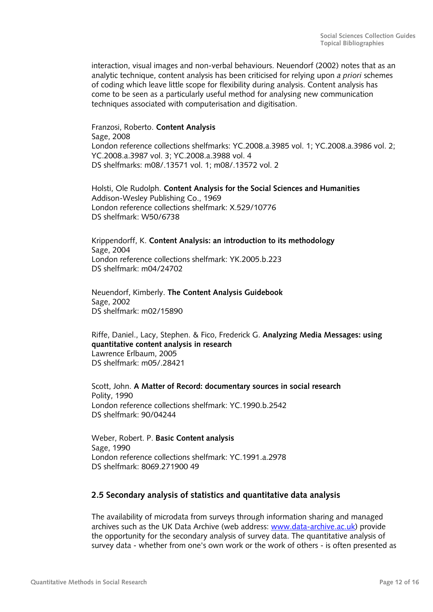<span id="page-11-0"></span>interaction, visual images and non-verbal behaviours. Neuendorf (2002) notes that as an analytic technique, content analysis has been criticised for relying upon *a priori* schemes of coding which leave little scope for flexibility during analysis. Content analysis has come to be seen as a particularly useful method for analysing new communication techniques associated with computerisation and digitisation.

Franzosi, Roberto. **Content Analysis**  Sage, 2008 London reference collections shelfmarks: YC.2008.a.3985 vol. 1; YC.2008.a.3986 vol. 2; YC.2008.a.3987 vol. 3; YC.2008.a.3988 vol. 4 DS shelfmarks: m08/.13571 vol. 1; m08/.13572 vol. 2

Holsti, Ole Rudolph. **Content Analysis for the Social Sciences and Humanities**  Addison-Wesley Publishing Co., 1969 London reference collections shelfmark: X.529/10776 DS shelfmark: W50/6738

Krippendorff, K. **Content Analysis: an introduction to its methodology**  Sage, 2004 London reference collections shelfmark: YK.2005.b.223 DS shelfmark: m04/24702

Neuendorf, Kimberly. **The Content Analysis Guidebook**  Sage, 2002 DS shelfmark: m02/15890

Riffe, Daniel., Lacy, Stephen. & Fico, Frederick G. **Analyzing Media Messages: using quantitative content analysis in research**  Lawrence Erlbaum, 2005 DS shelfmark: m05/.28421

Scott, John. **A Matter of Record: documentary sources in social research**  Polity, 1990 London reference collections shelfmark: YC.1990.b.2542 DS shelfmark: 90/04244

Weber, Robert. P. **Basic Content analysis**  Sage, 1990 London reference collections shelfmark: YC.1991.a.2978 DS shelfmark: 8069.271900 49

# **2.5 Secondary analysis of statistics and quantitative data analysis**

The availability of microdata from surveys through information sharing and managed archives such as the UK Data Archive (web address: [www.data-archive.ac.uk](http://www.data-archive.ac.uk/)) provide the opportunity for the secondary analysis of survey data. The quantitative analysis of survey data - whether from one's own work or the work of others - is often presented as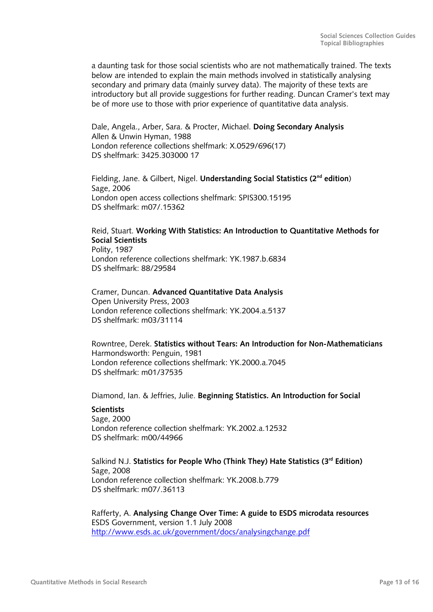a daunting task for those social scientists who are not mathematically trained. The texts below are intended to explain the main methods involved in statistically analysing secondary and primary data (mainly survey data). The majority of these texts are introductory but all provide suggestions for further reading. Duncan Cramer's text may be of more use to those with prior experience of quantitative data analysis.

Dale, Angela., Arber, Sara. & Procter, Michael. **Doing Secondary Analysis**  Allen & Unwin Hyman, 1988 London reference collections shelfmark: X.0529/696(17) DS shelfmark: 3425.303000 17

Fielding, Jane. & Gilbert, Nigel. **Understanding Social Statistics (2nd edition**) Sage, 2006 London open access collections shelfmark: SPIS300.15195 DS shelfmark: m07/.15362

#### Reid, Stuart. **Working With Statistics: An Introduction to Quantitative Methods for Social Scientists**  Polity, 1987

London reference collections shelfmark: YK.1987.b.6834 DS shelfmark: 88/29584

Cramer, Duncan. **Advanced Quantitative Data Analysis**  Open University Press, 2003 London reference collections shelfmark: YK.2004.a.5137 DS shelfmark: m03/31114

Rowntree, Derek. **Statistics without Tears: An Introduction for Non-Mathematicians**  Harmondsworth: Penguin, 1981 London reference collections shelfmark: YK.2000.a.7045 DS shelfmark: m01/37535

Diamond, Ian. & Jeffries, Julie. **Beginning Statistics. An Introduction for Social** 

### **Scientists**

Sage, 2000 London reference collection shelfmark: YK.2002.a.12532 DS shelfmark: m00/44966

Salkind N.J. **Statistics for People Who (Think They) Hate Statistics (3rd Edition)**  Sage, 2008 London reference collection shelfmark: YK.2008.b.779 DS shelfmark: m07/.36113

Rafferty, A. **Analysing Change Over Time: A guide to ESDS microdata resources**  ESDS Government, version 1.1 July 2008 <http://www.esds.ac.uk/government/docs/analysingchange.pdf>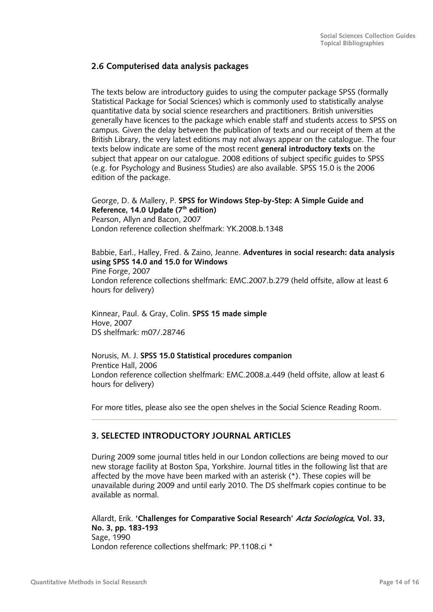# <span id="page-13-0"></span>**2.6 Computerised data analysis packages**

The texts below are introductory guides to using the computer package SPSS (formally Statistical Package for Social Sciences) which is commonly used to statistically analyse quantitative data by social science researchers and practitioners. British universities generally have licences to the package which enable staff and students access to SPSS on campus. Given the delay between the publication of texts and our receipt of them at the British Library, the very latest editions may not always appear on the catalogue. The four texts below indicate are some of the most recent **general introductory texts** on the subject that appear on our catalogue. 2008 editions of subject specific guides to SPSS (e.g. for Psychology and Business Studies) are also available. SPSS 15.0 is the 2006 edition of the package.

George, D. & Mallery, P. **SPSS for Windows Step-by-Step: A Simple Guide and Reference, 14.0 Update (7th edition)**  Pearson, Allyn and Bacon, 2007 London reference collection shelfmark: YK.2008.b.1348

Babbie, Earl., Halley, Fred. & Zaino, Jeanne. **Adventures in social research: data analysis using SPSS 14.0 and 15.0 for Windows**  Pine Forge, 2007 London reference collections shelfmark: EMC.2007.b.279 (held offsite, allow at least 6 hours for delivery)

Kinnear, Paul. & Gray, Colin. **SPSS 15 made simple**  Hove, 2007 DS shelfmark: m07/.28746

Norusis, M. J. **SPSS 15.0 Statistical procedures companion**  Prentice Hall, 2006 London reference collection shelfmark: EMC.2008.a.449 (held offsite, allow at least 6 hours for delivery)

For more titles, please also see the open shelves in the Social Science Reading Room.

# **3. SELECTED INTRODUCTORY JOURNAL ARTICLES**

During 2009 some journal titles held in our London collections are being moved to our new storage facility at Boston Spa, Yorkshire. Journal titles in the following list that are affected by the move have been marked with an asterisk (\*). These copies will be unavailable during 2009 and until early 2010. The DS shelfmark copies continue to be available as normal.

Allardt, Erik. **'Challenges for Comparative Social Research' Acta Sociologica, Vol. 33, No. 3, pp. 183-193**  Sage, 1990 London reference collections shelfmark: PP.1108.ci \*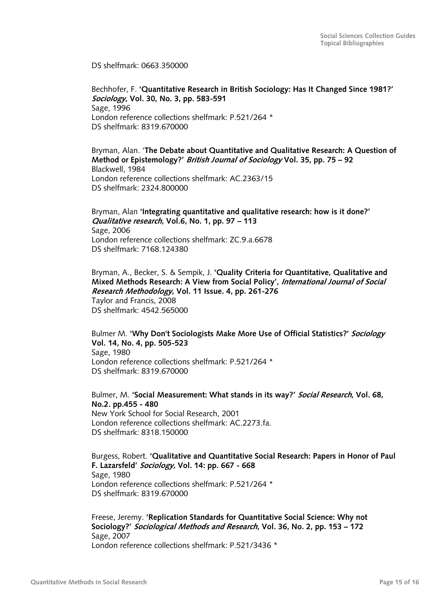DS shelfmark: 0663.350000

Bechhofer, F. **'Quantitative Research in British Sociology: Has It Changed Since 1981?' Sociology, Vol. 30, No. 3, pp. 583-591**  Sage, 1996 London reference collections shelfmark: P.521/264 \* DS shelfmark: 8319.670000

Bryman, Alan. '**The Debate about Quantitative and Qualitative Research: A Question of Method or Epistemology?' British Journal of Sociology Vol. 35, pp. 75 – 92**  Blackwell, 1984 London reference collections shelfmark: AC.2363/15 DS shelfmark: 2324.800000

Bryman, Alan **'Integrating quantitative and qualitative research: how is it done?' Qualitative research, Vol.6, No. 1, pp. 97 – 113**  Sage, 2006 London reference collections shelfmark: ZC.9.a.6678 DS shelfmark: 7168.124380

Bryman, A., Becker, S. & Sempik, J. **'Quality Criteria for Quantitative, Qualitative and Mixed Methods Research: A View from Social Policy', International Journal of Social Research Methodology, Vol. 11 Issue. 4, pp. 261-276**  Taylor and Francis, 2008 DS shelfmark: 4542.565000

Bulmer M. **'Why Don't Sociologists Make More Use of Official Statistics?' Sociology Vol. 14, No. 4, pp. 505-523**  Sage, 1980 London reference collections shelfmark: P.521/264 \* DS shelfmark: 8319.670000

Bulmer, M. **'Social Measurement: What stands in its way?' Social Research, Vol. 68, No.2. pp.455 - 480**  New York School for Social Research, 2001 London reference collections shelfmark: AC.2273.fa. DS shelfmark: 8318.150000

Burgess, Robert. **'Qualitative and Quantitative Social Research: Papers in Honor of Paul F. Lazarsfeld' Sociology, Vol. 14: pp. 667 - 668**  Sage, 1980 London reference collections shelfmark: P.521/264 \* DS shelfmark: 8319.670000

Freese, Jeremy. **'Replication Standards for Quantitative Social Science: Why not Sociology?' Sociological Methods and Research, Vol. 36, No. 2, pp. 153 – 172**  Sage, 2007 London reference collections shelfmark: P.521/3436 \*